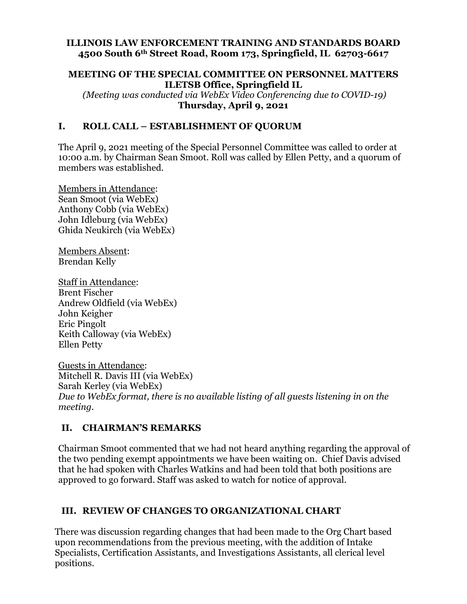#### **ILLINOIS LAW ENFORCEMENT TRAINING AND STANDARDS BOARD 4500 South 6th Street Road, Room 173, Springfield, IL 62703-6617**

### **MEETING OF THE SPECIAL COMMITTEE ON PERSONNEL MATTERS ILETSB Office, Springfield IL**

 *(Meeting was conducted via WebEx Video Conferencing due to COVID-19)*  **Thursday, April 9, 2021** 

## **I. ROLL CALL – ESTABLISHMENT OF QUORUM**

The April 9, 2021 meeting of the Special Personnel Committee was called to order at 10:00 a.m. by Chairman Sean Smoot. Roll was called by Ellen Petty, and a quorum of members was established.

Members in Attendance: Sean Smoot (via WebEx) Anthony Cobb (via WebEx) John Idleburg (via WebEx) Ghida Neukirch (via WebEx)

Members Absent: Brendan Kelly

Staff in Attendance: Brent Fischer Andrew Oldfield (via WebEx) John Keigher Eric Pingolt Keith Calloway (via WebEx) Ellen Petty

Guests in Attendance: Mitchell R. Davis III (via WebEx) Sarah Kerley (via WebEx) *Due to WebEx format, there is no available listing of all guests listening in on the meeting.* 

## **II. CHAIRMAN'S REMARKS**

Chairman Smoot commented that we had not heard anything regarding the approval of the two pending exempt appointments we have been waiting on. Chief Davis advised that he had spoken with Charles Watkins and had been told that both positions are approved to go forward. Staff was asked to watch for notice of approval.

# **III. REVIEW OF CHANGES TO ORGANIZATIONAL CHART**

There was discussion regarding changes that had been made to the Org Chart based upon recommendations from the previous meeting, with the addition of Intake Specialists, Certification Assistants, and Investigations Assistants, all clerical level positions.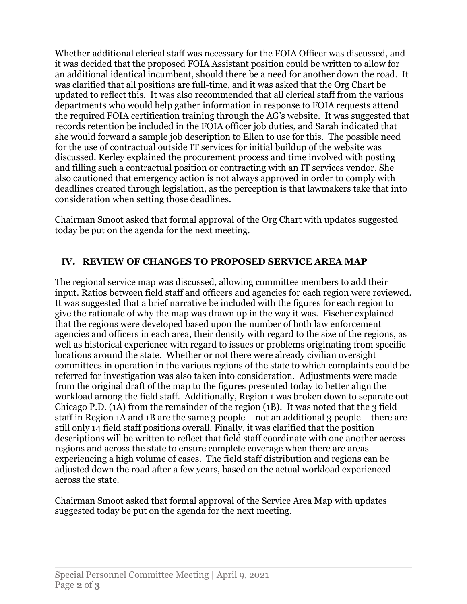Whether additional clerical staff was necessary for the FOIA Officer was discussed, and it was decided that the proposed FOIA Assistant position could be written to allow for an additional identical incumbent, should there be a need for another down the road. It was clarified that all positions are full-time, and it was asked that the Org Chart be updated to reflect this. It was also recommended that all clerical staff from the various departments who would help gather information in response to FOIA requests attend the required FOIA certification training through the AG's website. It was suggested that records retention be included in the FOIA officer job duties, and Sarah indicated that she would forward a sample job description to Ellen to use for this. The possible need for the use of contractual outside IT services for initial buildup of the website was discussed. Kerley explained the procurement process and time involved with posting and filling such a contractual position or contracting with an IT services vendor. She also cautioned that emergency action is not always approved in order to comply with deadlines created through legislation, as the perception is that lawmakers take that into consideration when setting those deadlines.

Chairman Smoot asked that formal approval of the Org Chart with updates suggested today be put on the agenda for the next meeting.

# **IV. REVIEW OF CHANGES TO PROPOSED SERVICE AREA MAP**

The regional service map was discussed, allowing committee members to add their input. Ratios between field staff and officers and agencies for each region were reviewed. It was suggested that a brief narrative be included with the figures for each region to give the rationale of why the map was drawn up in the way it was. Fischer explained that the regions were developed based upon the number of both law enforcement agencies and officers in each area, their density with regard to the size of the regions, as well as historical experience with regard to issues or problems originating from specific locations around the state. Whether or not there were already civilian oversight committees in operation in the various regions of the state to which complaints could be referred for investigation was also taken into consideration. Adjustments were made from the original draft of the map to the figures presented today to better align the workload among the field staff. Additionally, Region 1 was broken down to separate out Chicago P.D.  $(1)$  from the remainder of the region  $(1)$ . It was noted that the 3 field staff in Region 1A and 1B are the same 3 people – not an additional 3 people – there are still only 14 field staff positions overall. Finally, it was clarified that the position descriptions will be written to reflect that field staff coordinate with one another across regions and across the state to ensure complete coverage when there are areas experiencing a high volume of cases. The field staff distribution and regions can be adjusted down the road after a few years, based on the actual workload experienced across the state.

Chairman Smoot asked that formal approval of the Service Area Map with updates suggested today be put on the agenda for the next meeting.